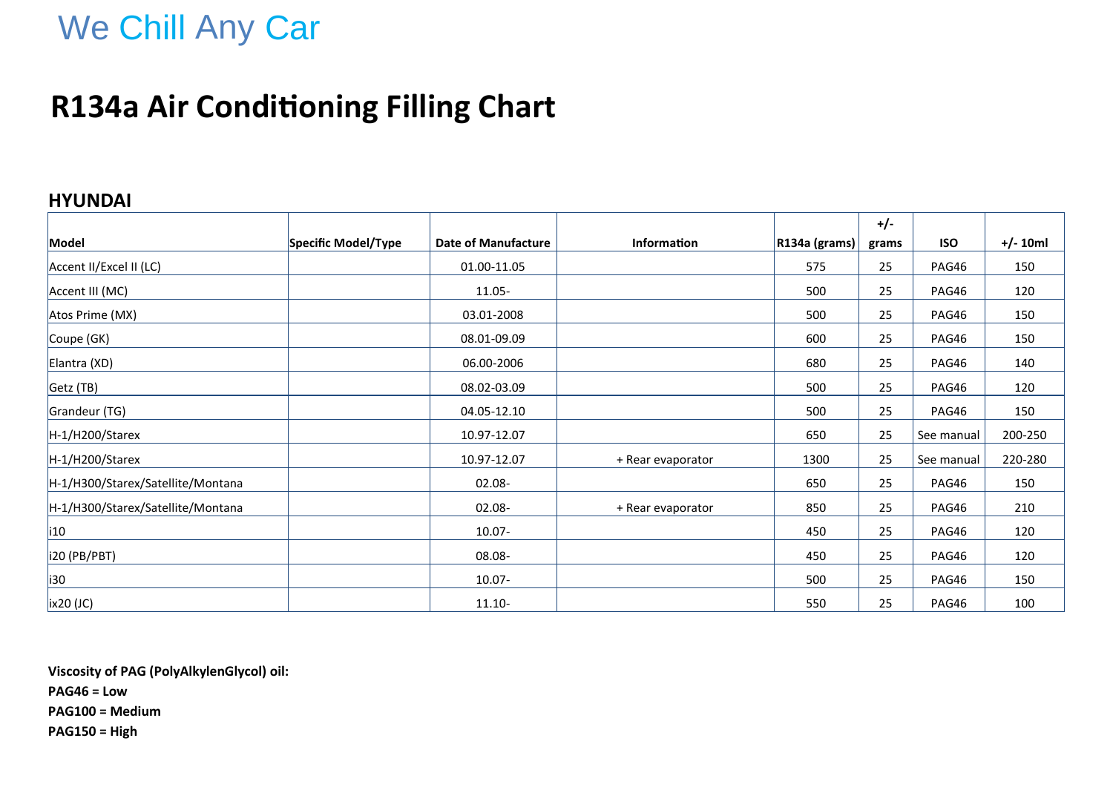# We Chill Any Car

## **R134a Air Conditioning Filling Chart**

#### **HYUNDAI**

|                                   |                     |                            |                    |               | $+/-$ |            |            |
|-----------------------------------|---------------------|----------------------------|--------------------|---------------|-------|------------|------------|
| Model                             | Specific Model/Type | <b>Date of Manufacture</b> | <b>Information</b> | R134a (grams) | grams | <b>ISO</b> | $+/- 10ml$ |
| Accent II/Excel II (LC)           |                     | 01.00-11.05                |                    | 575           | 25    | PAG46      | 150        |
| Accent III (MC)                   |                     | 11.05-                     |                    | 500           | 25    | PAG46      | 120        |
| Atos Prime (MX)                   |                     | 03.01-2008                 |                    | 500           | 25    | PAG46      | 150        |
| Coupe (GK)                        |                     | 08.01-09.09                |                    | 600           | 25    | PAG46      | 150        |
| Elantra (XD)                      |                     | 06.00-2006                 |                    | 680           | 25    | PAG46      | 140        |
| Getz (TB)                         |                     | 08.02-03.09                |                    | 500           | 25    | PAG46      | 120        |
| Grandeur (TG)                     |                     | 04.05-12.10                |                    | 500           | 25    | PAG46      | 150        |
| H-1/H200/Starex                   |                     | 10.97-12.07                |                    | 650           | 25    | See manual | 200-250    |
| H-1/H200/Starex                   |                     | 10.97-12.07                | + Rear evaporator  | 1300          | 25    | See manual | 220-280    |
| H-1/H300/Starex/Satellite/Montana |                     | 02.08-                     |                    | 650           | 25    | PAG46      | 150        |
| H-1/H300/Starex/Satellite/Montana |                     | 02.08-                     | + Rear evaporator  | 850           | 25    | PAG46      | 210        |
| i10                               |                     | $10.07 -$                  |                    | 450           | 25    | PAG46      | 120        |
| i20 (PB/PBT)                      |                     | 08.08-                     |                    | 450           | 25    | PAG46      | 120        |
| i30                               |                     | $10.07 -$                  |                    | 500           | 25    | PAG46      | 150        |
| $\vert$ ix20 (JC)                 |                     | $11.10 -$                  |                    | 550           | 25    | PAG46      | 100        |

**Viscosity of PAG (PolyAlkylenGlycol) oil: PAG46 = Low PAG100 = Medium PAG150 = High**